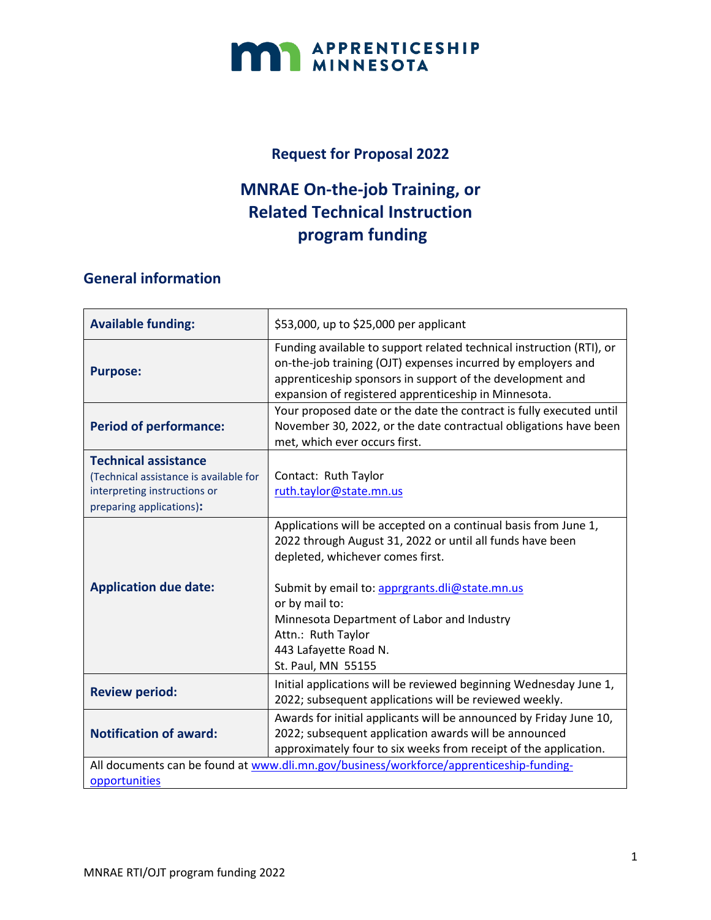

#### **Request for Proposal 2022**

### **MNRAE On-the-job Training, or Related Technical Instruction program funding**

### **General information**

| <b>Available funding:</b>                                                                                                         | \$53,000, up to \$25,000 per applicant                                                                                                                                                                                                                                                                                                                  |  |
|-----------------------------------------------------------------------------------------------------------------------------------|---------------------------------------------------------------------------------------------------------------------------------------------------------------------------------------------------------------------------------------------------------------------------------------------------------------------------------------------------------|--|
| <b>Purpose:</b>                                                                                                                   | Funding available to support related technical instruction (RTI), or<br>on-the-job training (OJT) expenses incurred by employers and<br>apprenticeship sponsors in support of the development and<br>expansion of registered apprenticeship in Minnesota.                                                                                               |  |
| <b>Period of performance:</b>                                                                                                     | Your proposed date or the date the contract is fully executed until<br>November 30, 2022, or the date contractual obligations have been<br>met, which ever occurs first.                                                                                                                                                                                |  |
| <b>Technical assistance</b><br>(Technical assistance is available for<br>interpreting instructions or<br>preparing applications): | Contact: Ruth Taylor<br>ruth.taylor@state.mn.us                                                                                                                                                                                                                                                                                                         |  |
| <b>Application due date:</b>                                                                                                      | Applications will be accepted on a continual basis from June 1,<br>2022 through August 31, 2022 or until all funds have been<br>depleted, whichever comes first.<br>Submit by email to: apprgrants.dli@state.mn.us<br>or by mail to:<br>Minnesota Department of Labor and Industry<br>Attn.: Ruth Taylor<br>443 Lafayette Road N.<br>St. Paul, MN 55155 |  |
| <b>Review period:</b>                                                                                                             | Initial applications will be reviewed beginning Wednesday June 1,<br>2022; subsequent applications will be reviewed weekly.                                                                                                                                                                                                                             |  |
| <b>Notification of award:</b>                                                                                                     | Awards for initial applicants will be announced by Friday June 10,<br>2022; subsequent application awards will be announced<br>approximately four to six weeks from receipt of the application.                                                                                                                                                         |  |
| All documents can be found at www.dli.mn.gov/business/workforce/apprenticeship-funding-<br>opportunities                          |                                                                                                                                                                                                                                                                                                                                                         |  |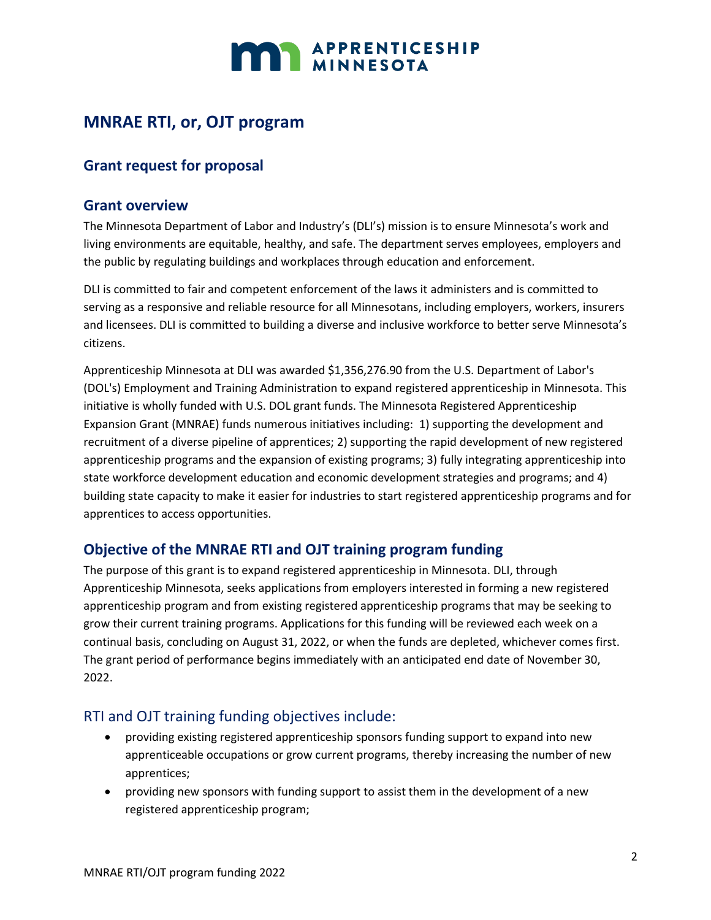

### **MNRAE RTI, or, OJT program**

#### **Grant request for proposal**

#### **Grant overview**

The Minnesota Department of Labor and Industry's (DLI's) mission is to ensure Minnesota's work and living environments are equitable, healthy, and safe. The department serves employees, employers and the public by regulating buildings and workplaces through education and enforcement.

DLI is committed to fair and competent enforcement of the laws it administers and is committed to serving as a responsive and reliable resource for all Minnesotans, including employers, workers, insurers and licensees. DLI is committed to building a diverse and inclusive workforce to better serve Minnesota's citizens.

Apprenticeship Minnesota at DLI was awarded \$1,356,276.90 from the U.S. Department of Labor's (DOL's) Employment and Training Administration to expand registered apprenticeship in Minnesota. This initiative is wholly funded with U.S. DOL grant funds. The Minnesota Registered Apprenticeship Expansion Grant (MNRAE) funds numerous initiatives including: 1) supporting the development and recruitment of a diverse pipeline of apprentices; 2) supporting the rapid development of new registered apprenticeship programs and the expansion of existing programs; 3) fully integrating apprenticeship into state workforce development education and economic development strategies and programs; and 4) building state capacity to make it easier for industries to start registered apprenticeship programs and for apprentices to access opportunities.

#### **Objective of the MNRAE RTI and OJT training program funding**

The purpose of this grant is to expand registered apprenticeship in Minnesota. DLI, through Apprenticeship Minnesota, seeks applications from employers interested in forming a new registered apprenticeship program and from existing registered apprenticeship programs that may be seeking to grow their current training programs. Applications for this funding will be reviewed each week on a continual basis, concluding on August 31, 2022, or when the funds are depleted, whichever comes first. The grant period of performance begins immediately with an anticipated end date of November 30, 2022.

#### RTI and OJT training funding objectives include:

- providing existing registered apprenticeship sponsors funding support to expand into new apprenticeable occupations or grow current programs, thereby increasing the number of new apprentices;
- providing new sponsors with funding support to assist them in the development of a new registered apprenticeship program;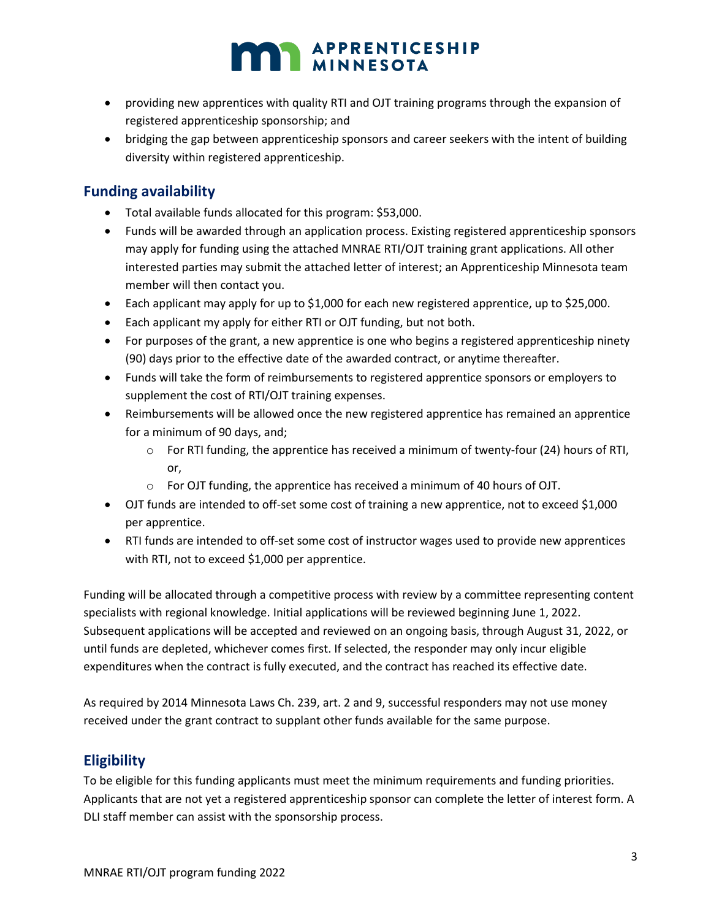- providing new apprentices with quality RTI and OJT training programs through the expansion of registered apprenticeship sponsorship; and
- bridging the gap between apprenticeship sponsors and career seekers with the intent of building diversity within registered apprenticeship.

#### **Funding availability**

- Total available funds allocated for this program: \$53,000.
- Funds will be awarded through an application process. Existing registered apprenticeship sponsors may apply for funding using the attached MNRAE RTI/OJT training grant applications. All other interested parties may submit the attached letter of interest; an Apprenticeship Minnesota team member will then contact you.
- Each applicant may apply for up to \$1,000 for each new registered apprentice, up to \$25,000.
- Each applicant my apply for either RTI or OJT funding, but not both.
- For purposes of the grant, a new apprentice is one who begins a registered apprenticeship ninety (90) days prior to the effective date of the awarded contract, or anytime thereafter.
- Funds will take the form of reimbursements to registered apprentice sponsors or employers to supplement the cost of RTI/OJT training expenses.
- Reimbursements will be allowed once the new registered apprentice has remained an apprentice for a minimum of 90 days, and;
	- $\circ$  For RTI funding, the apprentice has received a minimum of twenty-four (24) hours of RTI, or,
	- o For OJT funding, the apprentice has received a minimum of 40 hours of OJT.
- OJT funds are intended to off-set some cost of training a new apprentice, not to exceed \$1,000 per apprentice.
- RTI funds are intended to off-set some cost of instructor wages used to provide new apprentices with RTI, not to exceed \$1,000 per apprentice.

Funding will be allocated through a competitive process with review by a committee representing content specialists with regional knowledge. Initial applications will be reviewed beginning June 1, 2022. Subsequent applications will be accepted and reviewed on an ongoing basis, through August 31, 2022, or until funds are depleted, whichever comes first. If selected, the responder may only incur eligible expenditures when the contract is fully executed, and the contract has reached its effective date.

As required by 2014 Minnesota Laws Ch. 239, art. 2 and 9, successful responders may not use money received under the grant contract to supplant other funds available for the same purpose.

#### **Eligibility**

To be eligible for this funding applicants must meet the minimum requirements and funding priorities. Applicants that are not yet a registered apprenticeship sponsor can complete the letter of interest form. A DLI staff member can assist with the sponsorship process.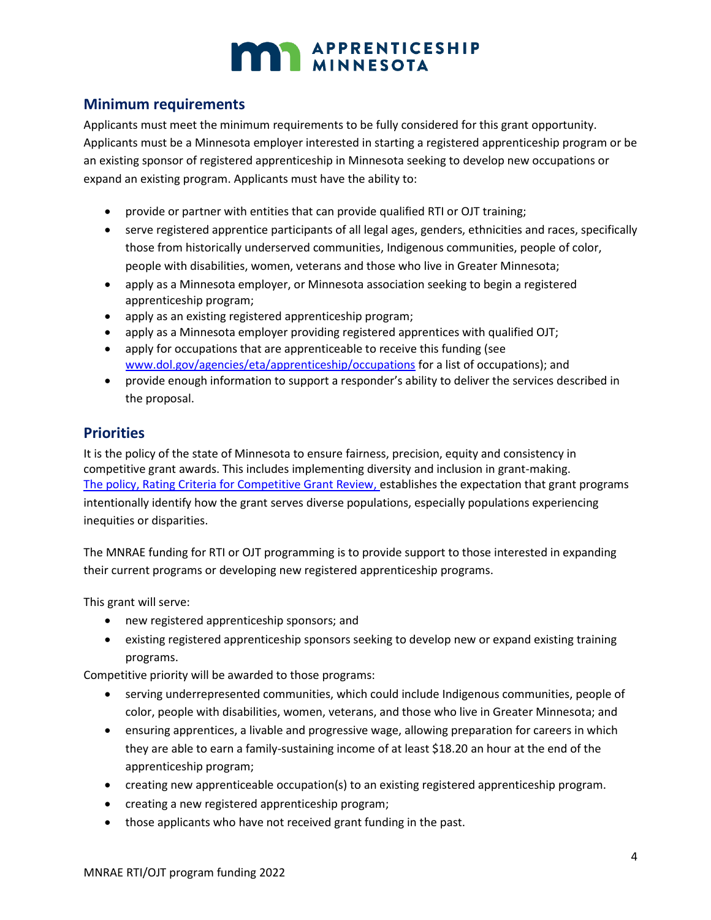

#### **Minimum requirements**

Applicants must meet the minimum requirements to be fully considered for this grant opportunity. Applicants must be a Minnesota employer interested in starting a registered apprenticeship program or be an existing sponsor of registered apprenticeship in Minnesota seeking to develop new occupations or expand an existing program. Applicants must have the ability to:

- provide or partner with entities that can provide qualified RTI or OJT training;
- serve registered apprentice participants of all legal ages, genders, ethnicities and races, specifically those from historically underserved communities, Indigenous communities, people of color, people with disabilities, women, veterans and those who live in Greater Minnesota;
- apply as a Minnesota employer, or Minnesota association seeking to begin a registered apprenticeship program;
- apply as an existing registered apprenticeship program;
- apply as a Minnesota employer providing registered apprentices with qualified OJT;
- apply for occupations that are apprenticeable to receive this funding (see [www.dol.gov/agencies/eta/apprenticeship/occupations](file:///C:/Users/Rtaylo/AppData/Local/Microsoft/Windows/INetCache/Content.Outlook/C4NDK0JJ/www.dol.gov/agencies/eta/apprenticeship/occupations) for a list of occupations); and
- provide enough information to support a responder's ability to deliver the services described in the proposal.

#### **Priorities**

It is the policy of the state of Minnesota to ensure fairness, precision, equity and consistency in competitive grant awards. This includes implementing diversity and inclusion in grant-making. The policy, [Rating Criteria for Competitive Grant Review,](https://mn.gov/admin/assets/08-02%20grants%20policy%20revision%20September%202017%20final_tcm36-312046.pdf) establishes the expectation that grant programs intentionally identify how the grant serves diverse populations, especially populations experiencing inequities or disparities.

The MNRAE funding for RTI or OJT programming is to provide support to those interested in expanding their current programs or developing new registered apprenticeship programs.

This grant will serve:

- new registered apprenticeship sponsors; and
- existing registered apprenticeship sponsors seeking to develop new or expand existing training programs.

Competitive priority will be awarded to those programs:

- serving underrepresented communities, which could include Indigenous communities, people of color, people with disabilities, women, veterans, and those who live in Greater Minnesota; and
- ensuring apprentices, a livable and progressive wage, allowing preparation for careers in which they are able to earn a family-sustaining income of at least \$18.20 an hour at the end of the apprenticeship program;
- creating new apprenticeable occupation(s) to an existing registered apprenticeship program.
- creating a new registered apprenticeship program;
- those applicants who have not received grant funding in the past.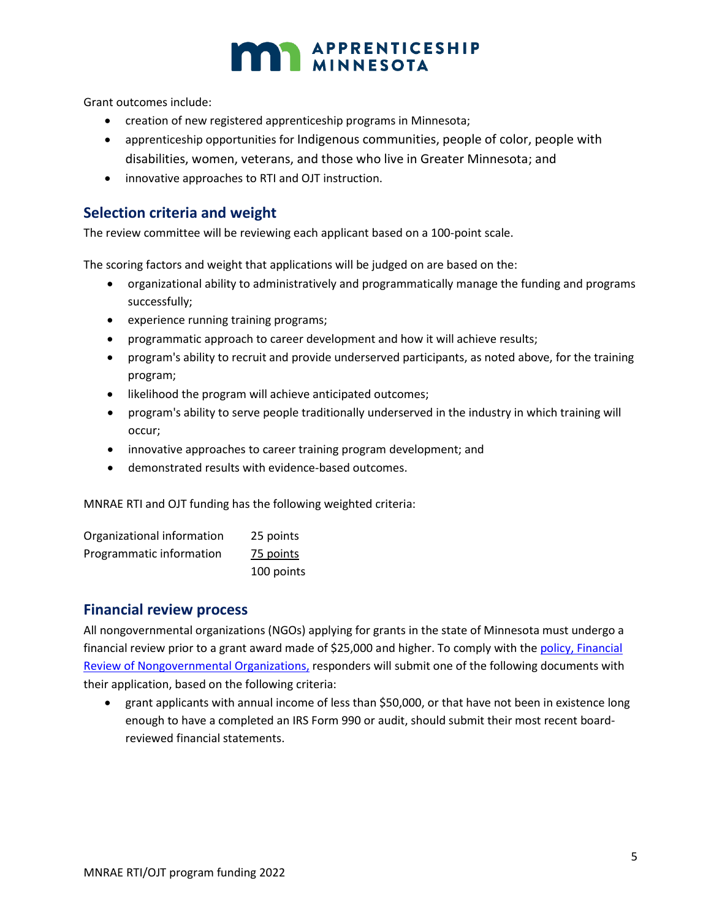Grant outcomes include:

- creation of new registered apprenticeship programs in Minnesota;
- apprenticeship opportunities for Indigenous communities, people of color, people with disabilities, women, veterans, and those who live in Greater Minnesota; and
- innovative approaches to RTI and OJT instruction.

#### **Selection criteria and weight**

The review committee will be reviewing each applicant based on a 100-point scale.

The scoring factors and weight that applications will be judged on are based on the:

- organizational ability to administratively and programmatically manage the funding and programs successfully;
- experience running training programs;
- programmatic approach to career development and how it will achieve results;
- program's ability to recruit and provide underserved participants, as noted above, for the training program;
- likelihood the program will achieve anticipated outcomes;
- program's ability to serve people traditionally underserved in the industry in which training will occur;
- innovative approaches to career training program development; and
- demonstrated results with evidence-based outcomes.

MNRAE RTI and OJT funding has the following weighted criteria:

| Organizational information | 25 points  |
|----------------------------|------------|
| Programmatic information   | 75 points  |
|                            | 100 points |

#### **Financial review process**

All nongovernmental organizations (NGOs) applying for grants in the state of Minnesota must undergo a financial review prior to a grant award made of \$25,000 and higher. To comply with the policy, [Financial](https://mn.gov/admin/assets/08%2006%20grants%20policy%20revision%20Dec%202016%20final_tcm36-265656.pdf)  [Review of Nongovernmental Organizations,](https://mn.gov/admin/assets/08%2006%20grants%20policy%20revision%20Dec%202016%20final_tcm36-265656.pdf) responders will submit one of the following documents with their application, based on the following criteria:

• grant applicants with annual income of less than \$50,000, or that have not been in existence long enough to have a completed an IRS Form 990 or audit, should submit their most recent boardreviewed financial statements.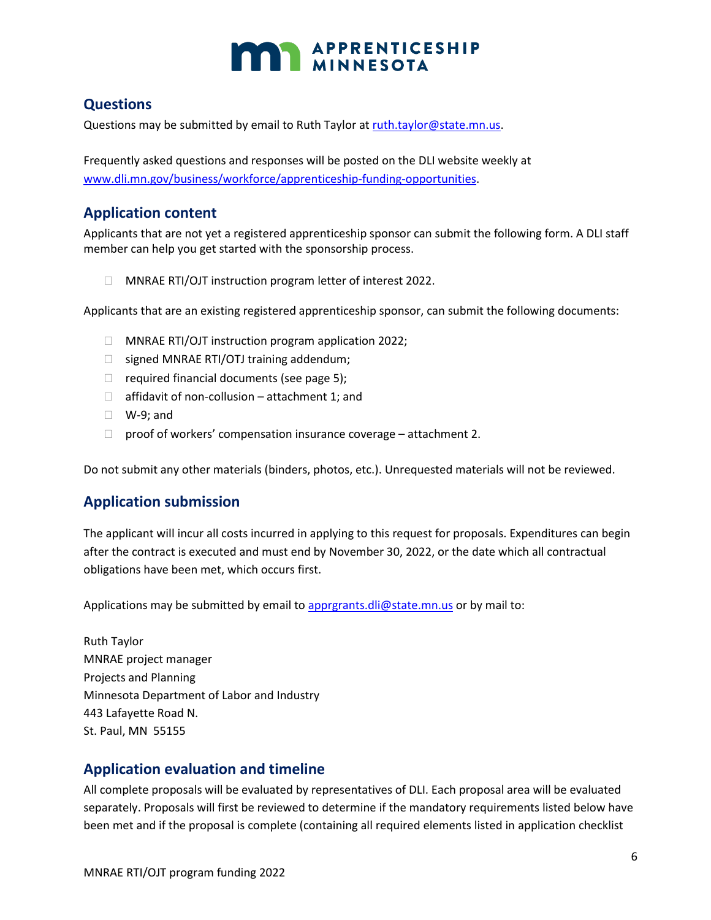

#### **Questions**

Questions may be submitted by email to Ruth Taylor at [ruth.taylor@state.mn.us.](mailto:ruth.taylor@state.mn.us)

Frequently asked questions and responses will be posted on the DLI website weekly at [www.dli.mn.gov/business/workforce/apprenticeship-funding-opportunities.](file:///C:/Users/Rtaylo/AppData/Local/Microsoft/Windows/INetCache/Content.Outlook/C4NDK0JJ/www.dli.mn.gov/business/workforce/apprenticeship-funding-opportunities)

#### **Application content**

Applicants that are not yet a registered apprenticeship sponsor can submit the following form. A DLI staff member can help you get started with the sponsorship process.

MNRAE RTI/OJT instruction program letter of interest 2022.

Applicants that are an existing registered apprenticeship sponsor, can submit the following documents:

- □ MNRAE RTI/OJT instruction program application 2022;
- $\Box$  signed MNRAE RTI/OTJ training addendum;
- $\Box$  required financial documents (see page 5);
- $\Box$  affidavit of non-collusion attachment 1; and
- W-9; and
- $\Box$  proof of workers' compensation insurance coverage attachment 2.

Do not submit any other materials (binders, photos, etc.). Unrequested materials will not be reviewed.

#### **Application submission**

The applicant will incur all costs incurred in applying to this request for proposals. Expenditures can begin after the contract is executed and must end by November 30, 2022, or the date which all contractual obligations have been met, which occurs first.

Applications may be submitted by email to [apprgrants.dli@state.mn.us](mailto:apprgrants.dli@state.mn.us) or by mail to:

Ruth Taylor MNRAE project manager Projects and Planning Minnesota Department of Labor and Industry 443 Lafayette Road N. St. Paul, MN 55155

#### **Application evaluation and timeline**

All complete proposals will be evaluated by representatives of DLI. Each proposal area will be evaluated separately. Proposals will first be reviewed to determine if the mandatory requirements listed below have been met and if the proposal is complete (containing all required elements listed in application checklist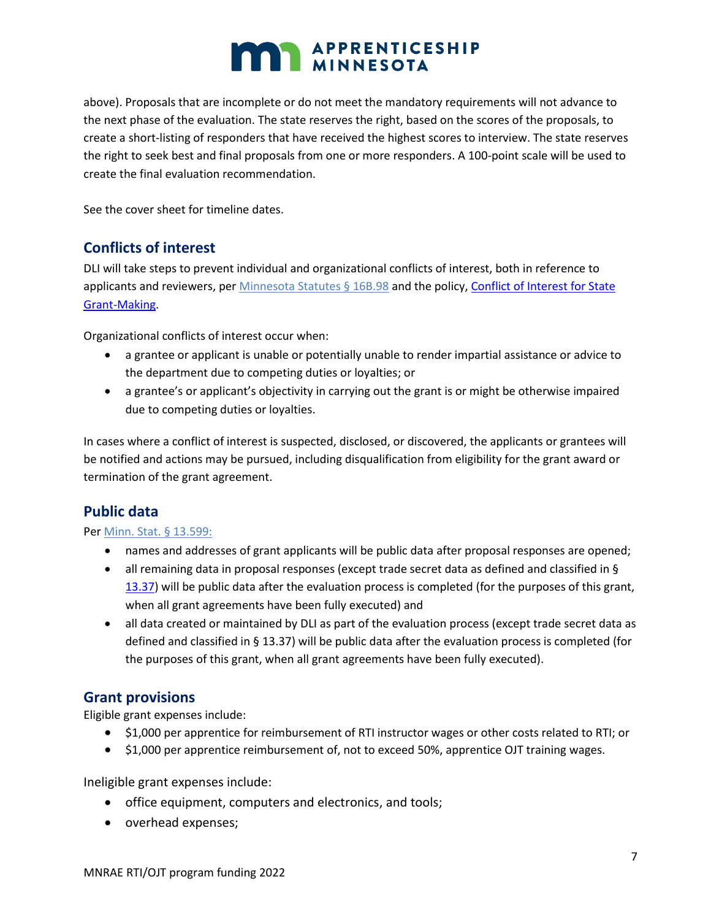above). Proposals that are incomplete or do not meet the mandatory requirements will not advance to the next phase of the evaluation. The state reserves the right, based on the scores of the proposals, to create a short-listing of responders that have received the highest scores to interview. The state reserves the right to seek best and final proposals from one or more responders. A 100-point scale will be used to create the final evaluation recommendation.

See the cover sheet for timeline dates.

#### **Conflicts of interest**

DLI will take steps to prevent individual and organizational conflicts of interest, both in reference to applicants and reviewers, per [Minnesota](https://www.revisor.mn.gov/statutes/?id=16B.98) Statutes § 16B.98 and the policy[, Conflict of Interest for State](http://www.mn.gov/admin/images/grants_policy_08-01.pdf)  [Grant-Making.](http://www.mn.gov/admin/images/grants_policy_08-01.pdf)

Organizational conflicts of interest occur when:

- a grantee or applicant is unable or potentially unable to render impartial assistance or advice to the department due to competing duties or loyalties; or
- a grantee's or applicant's objectivity in carrying out the grant is or might be otherwise impaired due to competing duties or loyalties.

In cases where a conflict of interest is suspected, disclosed, or discovered, the applicants or grantees will be notified and actions may be pursued, including disqualification from eligibility for the grant award or termination of the grant agreement.

#### **Public data**

#### Pe[r Minn. Stat. §](https://www.revisor.mn.gov/statutes/?id=13.599) 13.599:

- names and addresses of grant applicants will be public data after proposal responses are opened;
- all remaining data in proposal responses (except trade secret data as defined and classified in § [13.37\)](https://www.revisor.mn.gov/statutes/?id=13.37) will be public data after the evaluation process is completed (for the purposes of this grant, when all grant agreements have been fully executed) and
- all data created or maintained by DLI as part of the evaluation process (except trade secret data as defined and classified in § 13.37) will be public data after the evaluation process is completed (for the purposes of this grant, when all grant agreements have been fully executed).

#### **Grant provisions**

Eligible grant expenses include:

- \$1,000 per apprentice for reimbursement of RTI instructor wages or other costs related to RTI; or
- \$1,000 per apprentice reimbursement of, not to exceed 50%, apprentice OJT training wages.

Ineligible grant expenses include:

- office equipment, computers and electronics, and tools;
- overhead expenses;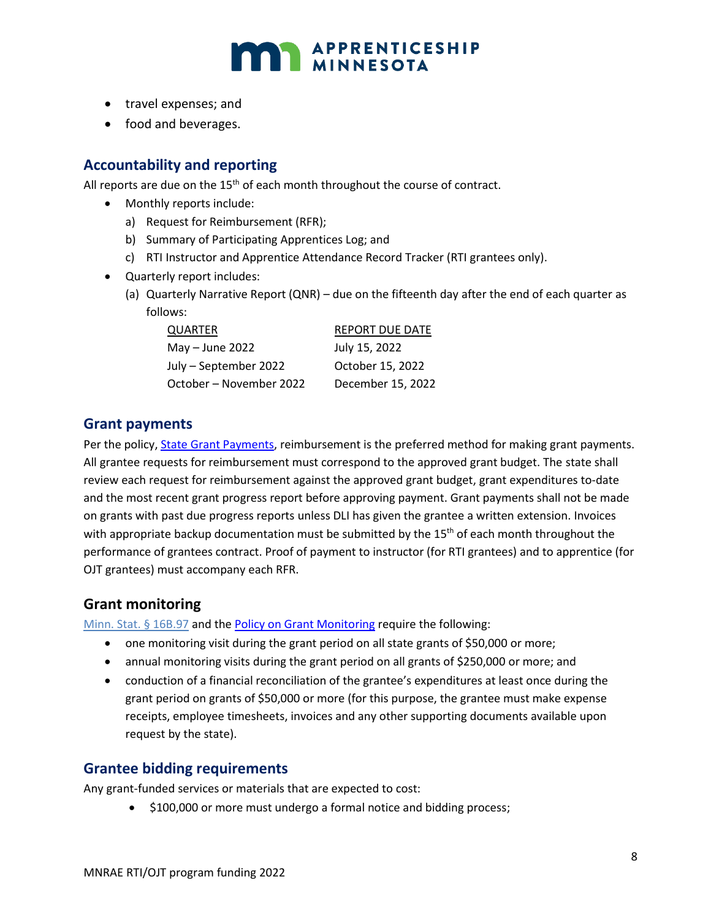

- travel expenses; and
- food and beverages.

#### **Accountability and reporting**

All reports are due on the  $15<sup>th</sup>$  of each month throughout the course of contract.

- Monthly reports include:
	- a) Request for Reimbursement (RFR);
	- b) Summary of Participating Apprentices Log; and
	- c) RTI Instructor and Apprentice Attendance Record Tracker (RTI grantees only).
- Quarterly report includes:
	- (a) Quarterly Narrative Report (QNR) due on the fifteenth day after the end of each quarter as follows:

| QUARTER                 | <b>REPORT DUE DATE</b> |
|-------------------------|------------------------|
| May $-$ June 2022       | July 15, 2022          |
| July - September 2022   | October 15, 2022       |
| October – November 2022 | December 15, 2022      |

#### **Grant payments**

Per the policy, [State Grant Payments,](http://www.mn.gov/admin/images/grants_policy_08-08.pdf) reimbursement is the preferred method for making grant payments. All grantee requests for reimbursement must correspond to the approved grant budget. The state shall review each request for reimbursement against the approved grant budget, grant expenditures to-date and the most recent grant progress report before approving payment. Grant payments shall not be made on grants with past due progress reports unless DLI has given the grantee a written extension. Invoices with appropriate backup documentation must be submitted by the  $15<sup>th</sup>$  of each month throughout the performance of grantees contract. Proof of payment to instructor (for RTI grantees) and to apprentice (for OJT grantees) must accompany each RFR.

#### **Grant monitoring**

[Minn. Stat. §](https://www.revisor.mn.gov/statutes/?id=16B.97) 16B.97 and the [Policy on Grant Monitoring](https://mn.gov/admin/assets/08%2010%20grants%20policy%20revision%20Dec%202016%20final_tcm36-265657.pdf) require the following:

- one monitoring visit during the grant period on all state grants of \$50,000 or more;
- annual monitoring visits during the grant period on all grants of \$250,000 or more; and
- conduction of a financial reconciliation of the grantee's expenditures at least once during the grant period on grants of \$50,000 or more (for this purpose, the grantee must make expense receipts, employee timesheets, invoices and any other supporting documents available upon request by the state).

#### **Grantee bidding requirements**

Any grant-funded services or materials that are expected to cost:

• \$100,000 or more must undergo a formal notice and bidding process;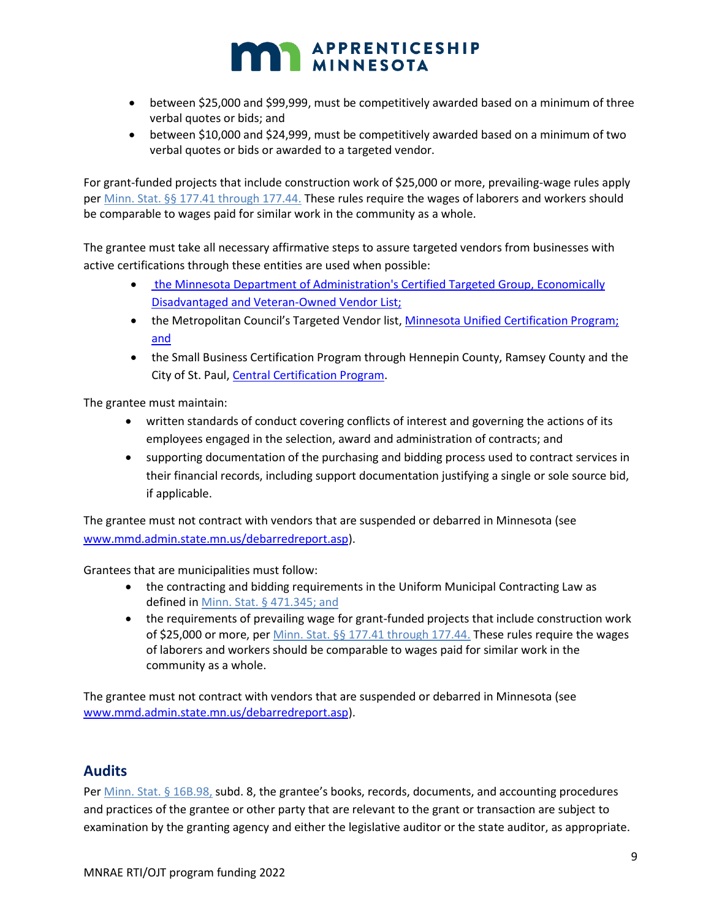## APPRENTICESHIP

- between \$25,000 and \$99,999, must be competitively awarded based on a minimum of three verbal quotes or bids; and
- between \$10,000 and \$24,999, must be competitively awarded based on a minimum of two verbal quotes or bids or awarded to a targeted vendor.

For grant-funded projects that include construction work of \$25,000 or more, prevailing-wage rules apply pe[r Minn. Stat. §§](https://www.revisor.leg.state.mn.us/statutes/?id=177.41) 177.41 through 177.44. These rules require the wages of laborers and workers should be comparable to wages paid for similar work in the community as a whole.

The grantee must take all necessary affirmative steps to assure targeted vendors from businesses with active certifications through these entities are used when possible:

- [the Minnesota Department of Administration's Certified Targeted Group, Economically](http://www.mmd.admin.state.mn.us/process/search/)  [Disadvantaged and Veteran-Owned Vendor List;](http://www.mmd.admin.state.mn.us/process/search/)
- the Metropolitan Council's Targeted Vendor list, [Minnesota Unified Certification Program;](https://mnucp.metc.state.mn.us/) and
- the Small Business Certification Program through Hennepin County, Ramsey County and the City of St. Paul, [Central Certification Program.](https://www.stpaul.gov/departments/human-rights-equal-economic-opportunity/contract-compliance-business-development/central)

The grantee must maintain:

- written standards of conduct covering conflicts of interest and governing the actions of its employees engaged in the selection, award and administration of contracts; and
- supporting documentation of the purchasing and bidding process used to contract services in their financial records, including support documentation justifying a single or sole source bid, if applicable.

The grantee must not contract with vendors that are suspended or debarred in Minnesota (see [www.mmd.admin.state.mn.us/debarredreport.asp\)](file:///C:/Users/Rtaylo/AppData/Local/Microsoft/Windows/INetCache/Content.Outlook/C4NDK0JJ/www.mmd.admin.state.mn.us/debarredreport.asp).

Grantees that are municipalities must follow:

- the contracting and bidding requirements in the Uniform Municipal Contracting Law as defined i[n Minn. Stat.](https://www.revisor.leg.state.mn.us/statutes/?id=471.345) § 471.345; and
- the requirements of prevailing wage for grant-funded projects that include construction work of \$25,000 or more, per [Minn. Stat. §§](https://www.revisor.leg.state.mn.us/statutes/?id=177.41) 177.41 through 177.44. These rules require the wages of laborers and workers should be comparable to wages paid for similar work in the community as a whole.

The grantee must not contract with vendors that are suspended or debarred in Minnesota (see [www.mmd.admin.state.mn.us/debarredreport.asp\)](file:///C:/Users/Rtaylo/AppData/Local/Microsoft/Windows/INetCache/Content.Outlook/C4NDK0JJ/www.mmd.admin.state.mn.us/debarredreport.asp).

#### **Audits**

Pe[r Minn. Stat. §](https://www.revisor.mn.gov/statutes/?id=16B.98) 16B.98, subd. 8, the grantee's books, records, documents, and accounting procedures and practices of the grantee or other party that are relevant to the grant or transaction are subject to examination by the granting agency and either the legislative auditor or the state auditor, as appropriate.